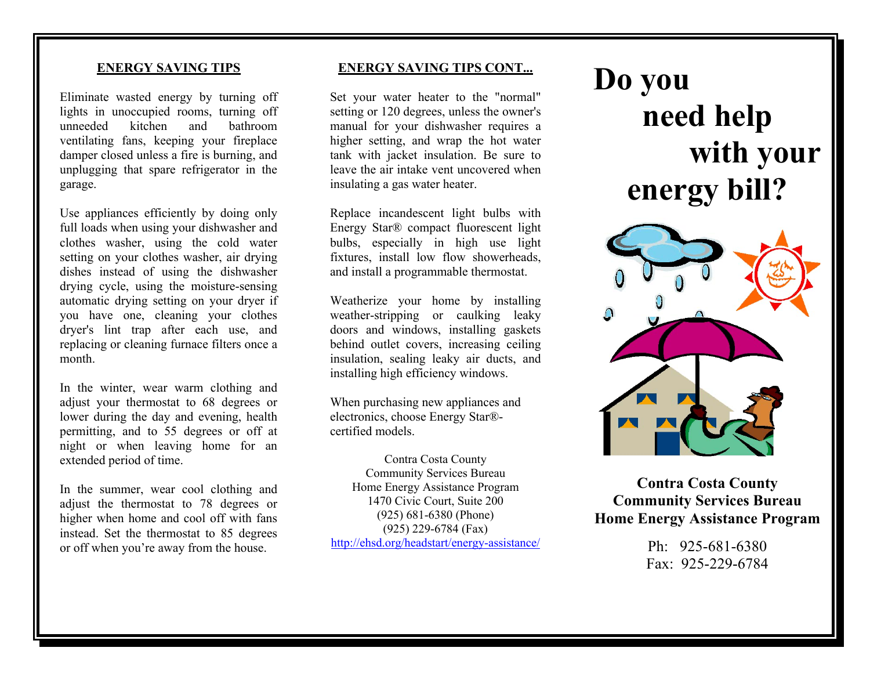### **ENERGY SAVING TIPS**

Eliminate wasted energy by turning off lights in unoccupied rooms, turning off unneeded kitchen and bathroom ventilating fans, keeping your fireplace damper closed unless a fire is burning, and unplugging that spare refrigerator in the garage.

Use appliances efficiently by doing only full loads when using your dishwasher and clothes washer, using the cold water setting on your clothes washer, air drying dishes instead of using the dishwasher drying cycle, using the moisture-sensing automatic drying setting on your dryer if you have one, cleaning your clothes dryer's lint trap after each use, and replacing or cleaning furnace filters once a month.

In the winter, wear warm clothing and adjust your thermostat to 68 degrees or lower during the day and evening, health permitting, and to 55 degrees or off at night or when leaving home for an extended period of time.

In the summer, wear cool clothing and adjust the thermostat to 78 degrees or higher when home and cool off with fans instead. Set the thermostat to 85 degrees or off when you're away from the house.

## **ENERGY SAVING TIPS CONT...**

Set your water heater to the "normal" setting or 120 degrees, unless the owner's manual for your dishwasher requires a higher setting, and wrap the hot water tank with jacket insulation. Be sure to leave the air intake vent uncovered when insulating a gas water heater.

Replace incandescent light bulbs with Energy Star® compact fluorescent light bulbs, especially in high use light fixtures, install low flow showerheads, and install a programmable thermostat.

Weatherize your home by installing weather-stripping or caulking leaky doors and windows, installing gaskets behind outlet covers, increasing ceiling insulation, sealing leaky air ducts, and installing high efficiency windows.

When purchasing new appliances and electronics, choose Energy Star® certified models.

Contra Costa County Community Services Bureau Home Energy Assistance Program 1470 Civic Court, Suite 200 (925) 681-6380 (Phone) (925) 229-6784 (Fax) http://ehsd.org/headstart/energy-assistance/

# **Do you need help with your energy bill?**



**Contra Costa County Community Services Bureau Home Energy Assistance Program**

> Ph: 925-681-6380 Fax: 925-229-6784